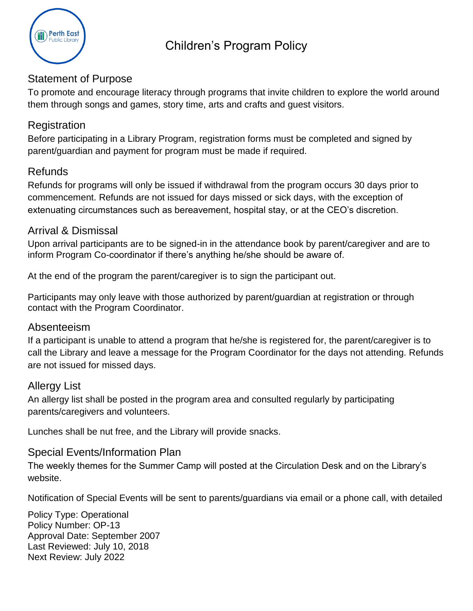

# Statement of Purpose

To promote and encourage literacy through programs that invite children to explore the world around them through songs and games, story time, arts and crafts and guest visitors.

## **Registration**

Before participating in a Library Program, registration forms must be completed and signed by parent/guardian and payment for program must be made if required.

# Refunds

Refunds for programs will only be issued if withdrawal from the program occurs 30 days prior to commencement. Refunds are not issued for days missed or sick days, with the exception of extenuating circumstances such as bereavement, hospital stay, or at the CEO's discretion.

## Arrival & Dismissal

Upon arrival participants are to be signed-in in the attendance book by parent/caregiver and are to inform Program Co-coordinator if there's anything he/she should be aware of.

At the end of the program the parent/caregiver is to sign the participant out.

Participants may only leave with those authorized by parent/guardian at registration or through contact with the Program Coordinator.

### Absenteeism

If a participant is unable to attend a program that he/she is registered for, the parent/caregiver is to call the Library and leave a message for the Program Coordinator for the days not attending. Refunds are not issued for missed days.

# Allergy List

An allergy list shall be posted in the program area and consulted regularly by participating parents/caregivers and volunteers.

Lunches shall be nut free, and the Library will provide snacks.

### Special Events/Information Plan

The weekly themes for the Summer Camp will posted at the Circulation Desk and on the Library's website.

Notification of Special Events will be sent to parents/guardians via email or a phone call, with detailed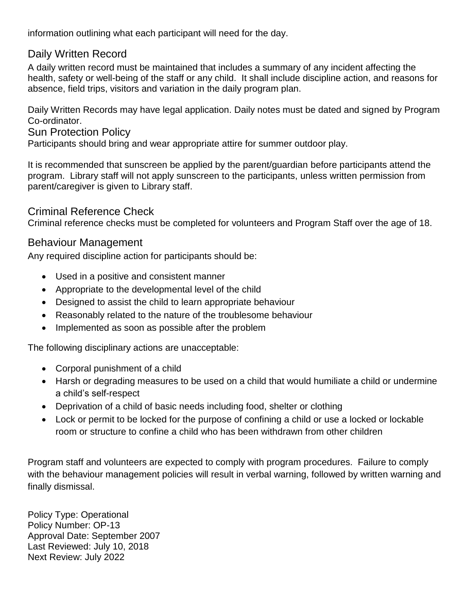information outlining what each participant will need for the day.

# Daily Written Record

A daily written record must be maintained that includes a summary of any incident affecting the health, safety or well-being of the staff or any child. It shall include discipline action, and reasons for absence, field trips, visitors and variation in the daily program plan.

Daily Written Records may have legal application. Daily notes must be dated and signed by Program Co-ordinator.

Sun Protection Policy

Participants should bring and wear appropriate attire for summer outdoor play.

It is recommended that sunscreen be applied by the parent/guardian before participants attend the program. Library staff will not apply sunscreen to the participants, unless written permission from parent/caregiver is given to Library staff.

## Criminal Reference Check

Criminal reference checks must be completed for volunteers and Program Staff over the age of 18.

## Behaviour Management

Any required discipline action for participants should be:

- Used in a positive and consistent manner
- Appropriate to the developmental level of the child
- Designed to assist the child to learn appropriate behaviour
- Reasonably related to the nature of the troublesome behaviour
- Implemented as soon as possible after the problem

The following disciplinary actions are unacceptable:

- Corporal punishment of a child
- Harsh or degrading measures to be used on a child that would humiliate a child or undermine a child's self-respect
- Deprivation of a child of basic needs including food, shelter or clothing
- Lock or permit to be locked for the purpose of confining a child or use a locked or lockable room or structure to confine a child who has been withdrawn from other children

Program staff and volunteers are expected to comply with program procedures. Failure to comply with the behaviour management policies will result in verbal warning, followed by written warning and finally dismissal.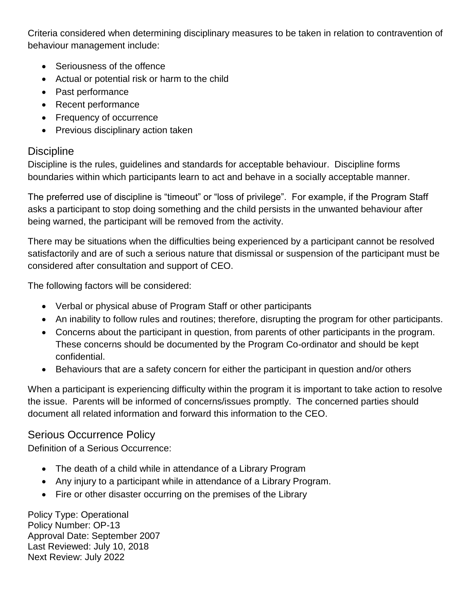Criteria considered when determining disciplinary measures to be taken in relation to contravention of behaviour management include:

- Seriousness of the offence
- Actual or potential risk or harm to the child
- Past performance
- Recent performance
- Frequency of occurrence
- Previous disciplinary action taken

### **Discipline**

Discipline is the rules, guidelines and standards for acceptable behaviour. Discipline forms boundaries within which participants learn to act and behave in a socially acceptable manner.

The preferred use of discipline is "timeout" or "loss of privilege". For example, if the Program Staff asks a participant to stop doing something and the child persists in the unwanted behaviour after being warned, the participant will be removed from the activity.

There may be situations when the difficulties being experienced by a participant cannot be resolved satisfactorily and are of such a serious nature that dismissal or suspension of the participant must be considered after consultation and support of CEO.

The following factors will be considered:

- Verbal or physical abuse of Program Staff or other participants
- An inability to follow rules and routines; therefore, disrupting the program for other participants.
- Concerns about the participant in question, from parents of other participants in the program. These concerns should be documented by the Program Co-ordinator and should be kept confidential.
- Behaviours that are a safety concern for either the participant in question and/or others

When a participant is experiencing difficulty within the program it is important to take action to resolve the issue. Parents will be informed of concerns/issues promptly. The concerned parties should document all related information and forward this information to the CEO.

### Serious Occurrence Policy

Definition of a Serious Occurrence:

- The death of a child while in attendance of a Library Program
- Any injury to a participant while in attendance of a Library Program.
- Fire or other disaster occurring on the premises of the Library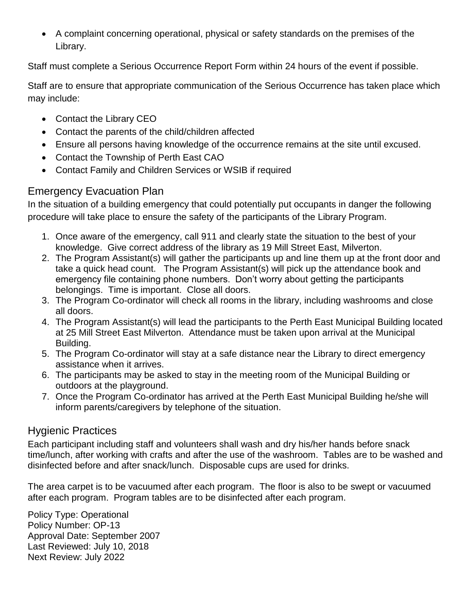A complaint concerning operational, physical or safety standards on the premises of the Library.

Staff must complete a Serious Occurrence Report Form within 24 hours of the event if possible.

Staff are to ensure that appropriate communication of the Serious Occurrence has taken place which may include:

- Contact the Library CEO
- Contact the parents of the child/children affected
- Ensure all persons having knowledge of the occurrence remains at the site until excused.
- Contact the Township of Perth East CAO
- Contact Family and Children Services or WSIB if required

# Emergency Evacuation Plan

In the situation of a building emergency that could potentially put occupants in danger the following procedure will take place to ensure the safety of the participants of the Library Program.

- 1. Once aware of the emergency, call 911 and clearly state the situation to the best of your knowledge. Give correct address of the library as 19 Mill Street East, Milverton.
- 2. The Program Assistant(s) will gather the participants up and line them up at the front door and take a quick head count. The Program Assistant(s) will pick up the attendance book and emergency file containing phone numbers. Don't worry about getting the participants belongings. Time is important. Close all doors.
- 3. The Program Co-ordinator will check all rooms in the library, including washrooms and close all doors.
- 4. The Program Assistant(s) will lead the participants to the Perth East Municipal Building located at 25 Mill Street East Milverton. Attendance must be taken upon arrival at the Municipal Building.
- 5. The Program Co-ordinator will stay at a safe distance near the Library to direct emergency assistance when it arrives.
- 6. The participants may be asked to stay in the meeting room of the Municipal Building or outdoors at the playground.
- 7. Once the Program Co-ordinator has arrived at the Perth East Municipal Building he/she will inform parents/caregivers by telephone of the situation.

# Hygienic Practices

Each participant including staff and volunteers shall wash and dry his/her hands before snack time/lunch, after working with crafts and after the use of the washroom. Tables are to be washed and disinfected before and after snack/lunch. Disposable cups are used for drinks.

The area carpet is to be vacuumed after each program. The floor is also to be swept or vacuumed after each program. Program tables are to be disinfected after each program.